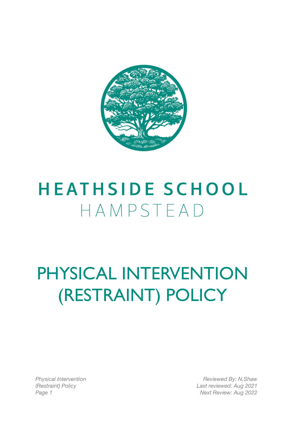

## **HEATHSIDE SCHOOL** HAMPSTEAD

## PHYSICAL INTERVENTION (RESTRAINT) POLICY

*Physical Intervention (Restraint) Policy*

*Reviewed By: N,Shaw Last reviewed: Aug 2021 Page 1 Next Review: Aug 2022*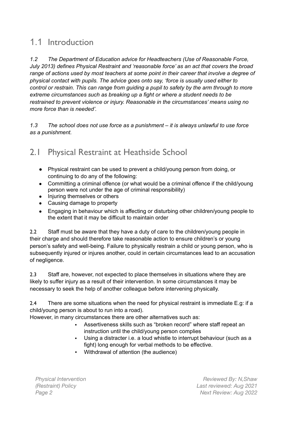### 1.1 Introduction

*1.2 The Department of Education advice for Headteachers (Use of Reasonable Force, July 2013) defines Physical Restraint and 'reasonable force' as an act that covers the broad range of actions used by most teachers at some point in their career that involve a degree of physical contact with pupils. The advice goes onto say, 'force is usually used either to control or restrain. This can range from guiding a pupil to safety by the arm through to more extreme circumstances such as breaking up a fight or where a student needs to be restrained to prevent violence or injury. Reasonable in the circumstances' means using no more force than is needed'.*

*1.3 The school does not use force as a punishment – it is always unlawful to use force as a punishment.*

### 2.1 Physical Restraint at Heathside School

- Physical restraint can be used to prevent a child/young person from doing, or continuing to do any of the following:
- Committing a criminal offence (or what would be a criminal offence if the child/young person were not under the age of criminal responsibility)
- Injuring themselves or others
- Causing damage to property
- Engaging in behaviour which is affecting or disturbing other children/young people to the extent that it may be difficult to maintain order

2.2 Staff must be aware that they have a duty of care to the children/young people in their charge and should therefore take reasonable action to ensure children's or young person's safety and well-being. Failure to physically restrain a child or young person, who is subsequently injured or injures another, could in certain circumstances lead to an accusation of negligence.

2.3 Staff are, however, not expected to place themselves in situations where they are likely to suffer injury as a result of their intervention. In some circumstances it may be necessary to seek the help of another colleague before intervening physically.

2.4 There are some situations when the need for physical restraint is immediate E.g: if a child/young person is about to run into a road).

However, in many circumstances there are other alternatives such as:

- Assertiveness skills such as "broken record" where staff repeat an instruction until the child/young person complies
- Using a distracter i.e. a loud whistle to interrupt behaviour (such as a fight) long enough for verbal methods to be effective.
- Withdrawal of attention (the audience)

*Physical Intervention (Restraint) Policy*

*Reviewed By: N,Shaw Last reviewed: Aug 2021 Page 2 Next Review: Aug 2022*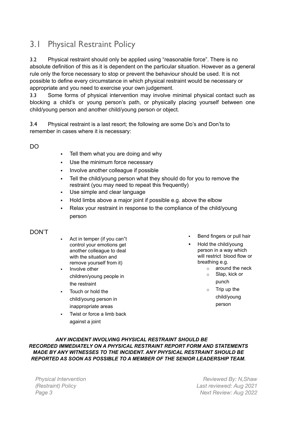### 3.1 Physical Restraint Policy

3.2 Physical restraint should only be applied using "reasonable force". There is no absolute definition of this as it is dependent on the particular situation. However as a general rule only the force necessary to stop or prevent the behaviour should be used. It is not possible to define every circumstance in which physical restraint would be necessary or appropriate and you need to exercise your own judgement.

3.3 Some forms of physical intervention may involve minimal physical contact such as blocking a child's or young person's path, or physically placing yourself between one child/young person and another child/young person or object.

3.4 Physical restraint is a last resort; the following are some Do's and Don'ts to remember in cases where it is necessary:

DO

- **•** Tell them what you are doing and why
- Use the minimum force necessary
- Involve another colleague if possible
- Tell the child/young person what they should do for you to remove the restraint (you may need to repeat this frequently)
- Use simple and clear language
- Hold limbs above a major joint if possible e.g. above the elbow
- Relax your restraint in response to the compliance of the child/young person

#### DON'T

- Act in temper (if you can"t control your emotions get another colleague to deal with the situation and remove yourself from it)
- Involve other children/young people in the restraint
- Touch or hold the child/young person in inappropriate areas
- Twist or force a limb back against a joint
- Bend fingers or pull hair
- Hold the child/young person in a way which will restrict blood flow or breathing e.g.
	- $\circ$  around the neck
	- o Slap, kick or
		- punch
	- $\circ$  Trip up the child/young person

*ANY INCIDENT INVOLVING PHYSICAL RESTRAINT SHOULD BE RECORDED IMMEDIATELY ON A PHYSICAL RESTRAINT REPORT FORM AND STATEMENTS MADE BY ANY WITNESSES TO THE INCIDENT. ANY PHYSICAL RESTRAINT SHOULD BE REPORTED AS SOON AS POSSIBLE TO A MEMBER OF THE SENIOR LEADERSHIP TEAM.*

*Physical Intervention (Restraint) Policy*

*Reviewed By: N,Shaw Last reviewed: Aug 2021 Page 3 Next Review: Aug 2022*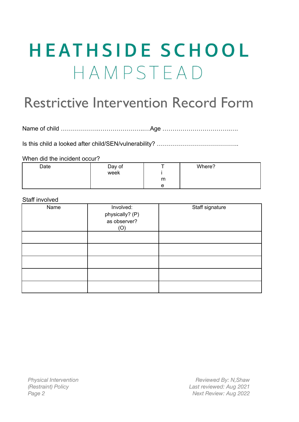# **HEATHSIDE SCHOOL** HAMPSTEAD

## Restrictive Intervention Record Form

Name of child ……………….…………………..…Age …………………………….….

Is this child a looked after child/SEN/vulnerability? …………………………………..

When did the incident occur?

| Date | Day of |   | Where? |
|------|--------|---|--------|
|      | week   |   |        |
|      |        | m |        |
|      |        | e |        |

#### Staff involved

| Name | Involved:<br>physically? (P)<br>as observer?<br>(O) | Staff signature |
|------|-----------------------------------------------------|-----------------|
|      |                                                     |                 |
|      |                                                     |                 |
|      |                                                     |                 |
|      |                                                     |                 |
|      |                                                     |                 |

*Physical Intervention (Restraint) Policy*

*Reviewed By: N,Shaw Last reviewed: Aug 2021 Page 2 Next Review: Aug 2022*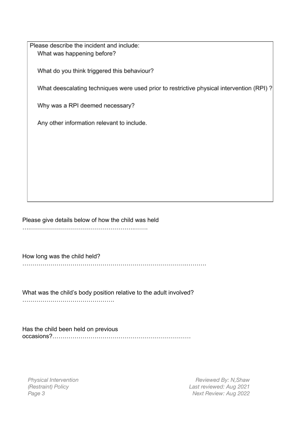Please describe the incident and include: What was happening before?

What do you think triggered this behaviour?

What deescalating techniques were used prior to restrictive physical intervention (RPI)?

Why was a RPI deemed necessary?

Any other information relevant to include.

Please give details below of how the child was held ….…………………………………………….…….

How long was the child held?

……………………………………………………………………….……….

What was the child's body position relative to the adult involved? ……………………………………….

Has the child been held on previous occasions?……………………………………………………………

*Physical Intervention (Restraint) Policy*

*Reviewed By: N,Shaw Last reviewed: Aug 2021 Page 3 Next Review: Aug 2022*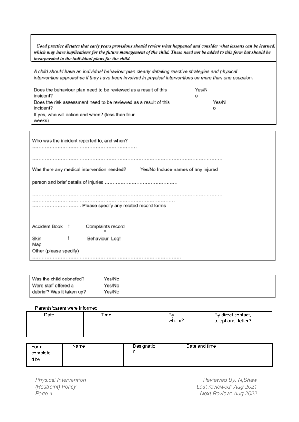| Good practice dictates that early years provisions should review what happened and consider what lessons can be learned,<br>which may have implications for the future management of the child. These need not be added to this form but should be<br>incorporated in the individual plans for the child. |            |
|-----------------------------------------------------------------------------------------------------------------------------------------------------------------------------------------------------------------------------------------------------------------------------------------------------------|------------|
| A child should have an individual behaviour plan clearly detailing reactive strategies and physical<br>intervention approaches if they have been involved in physical interventions on more than one occasion.                                                                                            |            |
| Does the behaviour plan need to be reviewed as a result of this<br>incident?                                                                                                                                                                                                                              | Yes/N<br>o |
| Does the risk assessment need to be reviewed as a result of this<br>incident?                                                                                                                                                                                                                             | Yes/N<br>o |
| If yes, who will action and when? (less than four<br>weeks)                                                                                                                                                                                                                                               |            |
|                                                                                                                                                                                                                                                                                                           |            |

|                                       |  | Who was the incident reported to, and when?                                       |  |  |
|---------------------------------------|--|-----------------------------------------------------------------------------------|--|--|
|                                       |  | Was there any medical intervention needed?<br>Yes/No Include names of any injured |  |  |
|                                       |  |                                                                                   |  |  |
|                                       |  | Please specify any related record forms                                           |  |  |
| Accident Book !                       |  | Complaints record                                                                 |  |  |
| Skin<br>Map<br>Other (please specify) |  | Behaviour Log!                                                                    |  |  |

| Was the child debriefed?  | Yes/No |
|---------------------------|--------|
| l Were staff offered a    | Yes/No |
| debrief? Was it taken up? | Yes/No |

#### Parents/carers were informed

 $\overline{\mathsf{I}}$ 

| Date | Time | B٧<br>whom? | By direct contact,<br>telephone, letter? |
|------|------|-------------|------------------------------------------|
|      |      |             |                                          |

| Form<br>complete | Name | Designatio | Date and time |
|------------------|------|------------|---------------|
| d by:            |      |            |               |

*Physical Intervention (Restraint) Policy*

*Reviewed By: N,Shaw Last reviewed: Aug 2021 Page 4 Next Review: Aug 2022*